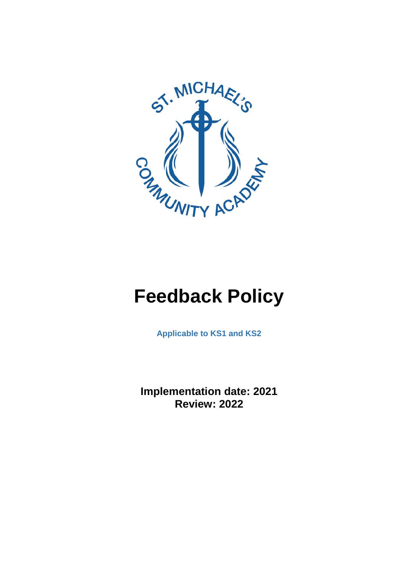

# **Feedback Policy**

**Applicable to KS1 and KS2**

**Implementation date: 2021 Review: 2022**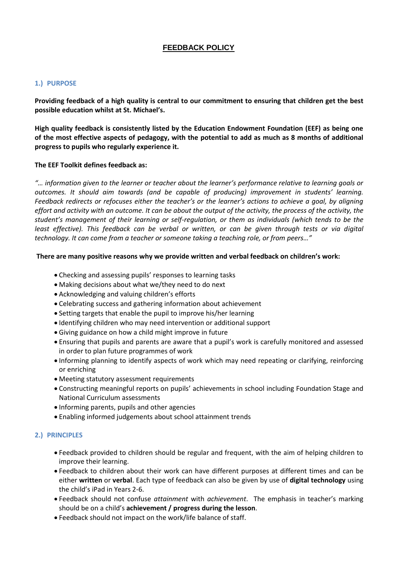## **FEEDBACK POLICY**

## **1.) PURPOSE**

**Providing feedback of a high quality is central to our commitment to ensuring that children get the best possible education whilst at St. Michael's.** 

**High quality feedback is consistently listed by the Education Endowment Foundation (EEF) as being one of the most effective aspects of pedagogy, with the potential to add as much as 8 months of additional progress to pupils who regularly experience it.**

## **The EEF Toolkit defines feedback as:**

*"… information given to the learner or teacher about the learner's performance relative to learning goals or outcomes. It should aim towards (and be capable of producing) improvement in students' learning. Feedback redirects or refocuses either the teacher's or the learner's actions to achieve a goal, by aligning effort and activity with an outcome. It can be about the output of the activity, the process of the activity, the student's management of their learning or self-regulation, or them as individuals (which tends to be the least effective). This feedback can be verbal or written, or can be given through tests or via digital technology. It can come from a teacher or someone taking a teaching role, or from peers…"*

## **There are many positive reasons why we provide written and verbal feedback on children's work:**

- Checking and assessing pupils' responses to learning tasks
- Making decisions about what we/they need to do next
- Acknowledging and valuing children's efforts
- Celebrating success and gathering information about achievement
- Setting targets that enable the pupil to improve his/her learning
- Identifying children who may need intervention or additional support
- Giving guidance on how a child might improve in future
- Ensuring that pupils and parents are aware that a pupil's work is carefully monitored and assessed in order to plan future programmes of work
- Informing planning to identify aspects of work which may need repeating or clarifying, reinforcing or enriching
- Meeting statutory assessment requirements
- Constructing meaningful reports on pupils' achievements in school including Foundation Stage and National Curriculum assessments
- Informing parents, pupils and other agencies
- Enabling informed judgements about school attainment trends

## **2.) PRINCIPLES**

- Feedback provided to children should be regular and frequent, with the aim of helping children to improve their learning.
- Feedback to children about their work can have different purposes at different times and can be either **written** or **verbal**. Each type of feedback can also be given by use of **digital technology** using the child's iPad in Years 2-6.
- Feedback should not confuse *attainment* with *achievement*. The emphasis in teacher's marking should be on a child's **achievement / progress during the lesson**.
- Feedback should not impact on the work/life balance of staff.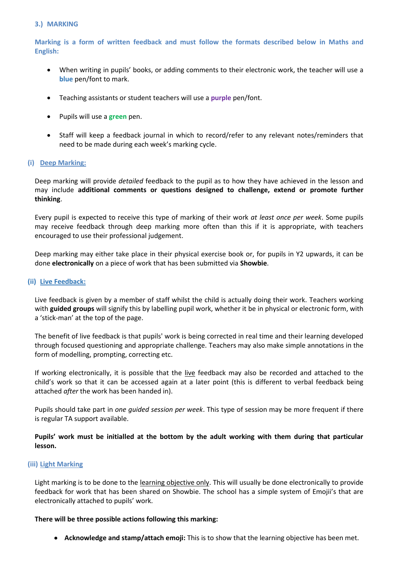## **3.) MARKING**

**Marking is a form of written feedback and must follow the formats described below in Maths and English:**

- When writing in pupils' books, or adding comments to their electronic work, the teacher will use a **blue** pen/font to mark.
- Teaching assistants or student teachers will use a **purple** pen/font.
- Pupils will use a **green** pen.
- Staff will keep a feedback journal in which to record/refer to any relevant notes/reminders that need to be made during each week's marking cycle.

## **(i) Deep Marking:**

Deep marking will provide *detailed* feedback to the pupil as to how they have achieved in the lesson and may include **additional comments or questions designed to challenge, extend or promote further thinking**.

Every pupil is expected to receive this type of marking of their work *at least once per week*. Some pupils may receive feedback through deep marking more often than this if it is appropriate, with teachers encouraged to use their professional judgement.

Deep marking may either take place in their physical exercise book or, for pupils in Y2 upwards, it can be done **electronically** on a piece of work that has been submitted via **Showbie**.

## **(ii) Live Feedback:**

Live feedback is given by a member of staff whilst the child is actually doing their work. Teachers working with **guided groups** will signify this by labelling pupil work, whether it be in physical or electronic form, with a 'stick-man' at the top of the page.

The benefit of live feedback is that pupils' work is being corrected in real time and their learning developed through focused questioning and appropriate challenge. Teachers may also make simple annotations in the form of modelling, prompting, correcting etc.

If working electronically, it is possible that the live feedback may also be recorded and attached to the child's work so that it can be accessed again at a later point (this is different to verbal feedback being attached *after* the work has been handed in).

Pupils should take part in *one guided session per week*. This type of session may be more frequent if there is regular TA support available.

**Pupils' work must be initialled at the bottom by the adult working with them during that particular lesson.**

## **(iii) Light Marking**

Light marking is to be done to the learning objective only. This will usually be done electronically to provide feedback for work that has been shared on Showbie. The school has a simple system of Emojii's that are electronically attached to pupils' work.

#### **There will be three possible actions following this marking:**

**Acknowledge and stamp/attach emoji:** This is to show that the learning objective has been met.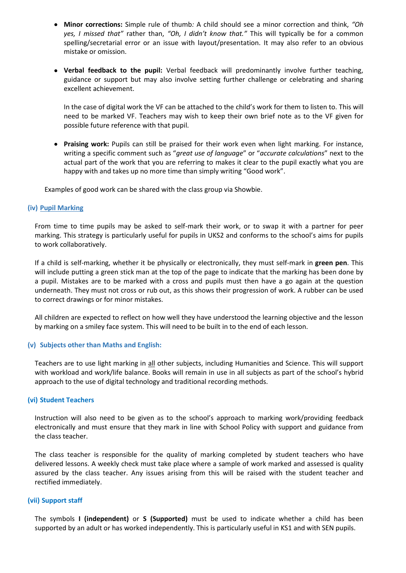- **Minor corrections:** Simple rule of thumb*:* A child should see a minor correction and think, *"Oh yes, I missed that"* rather than, *"Oh, I didn't know that."* This will typically be for a common spelling/secretarial error or an issue with layout/presentation. It may also refer to an obvious mistake or omission.
- **Verbal feedback to the pupil:** Verbal feedback will predominantly involve further teaching, guidance or support but may also involve setting further challenge or celebrating and sharing excellent achievement.

In the case of digital work the VF can be attached to the child's work for them to listen to. This will need to be marked VF. Teachers may wish to keep their own brief note as to the VF given for possible future reference with that pupil.

 **Praising work:** Pupils can still be praised for their work even when light marking. For instance, writing a specific comment such as "*great use of language*" or "*accurate calculations*" next to the actual part of the work that you are referring to makes it clear to the pupil exactly what you are happy with and takes up no more time than simply writing "Good work".

Examples of good work can be shared with the class group via Showbie.

## **(iv) Pupil Marking**

From time to time pupils may be asked to self-mark their work, or to swap it with a partner for peer marking. This strategy is particularly useful for pupils in UKS2 and conforms to the school's aims for pupils to work collaboratively.

If a child is self-marking, whether it be physically or electronically, they must self-mark in **green pen**. This will include putting a green stick man at the top of the page to indicate that the marking has been done by a pupil. Mistakes are to be marked with a cross and pupils must then have a go again at the question underneath. They must not cross or rub out, as this shows their progression of work. A rubber can be used to correct drawings or for minor mistakes.

All children are expected to reflect on how well they have understood the learning objective and the lesson by marking on a smiley face system. This will need to be built in to the end of each lesson.

## **(v) Subjects other than Maths and English:**

Teachers are to use light marking in all other subjects, including Humanities and Science. This will support with workload and work/life balance. Books will remain in use in all subjects as part of the school's hybrid approach to the use of digital technology and traditional recording methods.

#### **(vi) Student Teachers**

Instruction will also need to be given as to the school's approach to marking work/providing feedback electronically and must ensure that they mark in line with School Policy with support and guidance from the class teacher.

The class teacher is responsible for the quality of marking completed by student teachers who have delivered lessons. A weekly check must take place where a sample of work marked and assessed is quality assured by the class teacher. Any issues arising from this will be raised with the student teacher and rectified immediately.

#### **(vii) Support staff**

The symbols **I (independent)** or **S (Supported)** must be used to indicate whether a child has been supported by an adult or has worked independently. This is particularly useful in KS1 and with SEN pupils.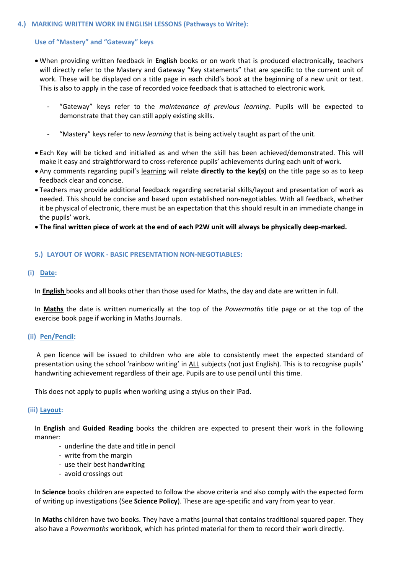#### **4.) MARKING WRITTEN WORK IN ENGLISH LESSONS (Pathways to Write):**

## **Use of "Mastery" and "Gateway" keys**

- When providing written feedback in **English** books or on work that is produced electronically, teachers will directly refer to the Mastery and Gateway "Key statements" that are specific to the current unit of work. These will be displayed on a title page in each child's book at the beginning of a new unit or text. This is also to apply in the case of recorded voice feedback that is attached to electronic work.
	- "Gateway" keys refer to the *maintenance of previous learning*. Pupils will be expected to demonstrate that they can still apply existing skills.
	- "Mastery" keys refer to *new learning* that is being actively taught as part of the unit.
- Each Key will be ticked and initialled as and when the skill has been achieved/demonstrated. This will make it easy and straightforward to cross-reference pupils' achievements during each unit of work.
- Any comments regarding pupil's learning will relate **directly to the key(s)** on the title page so as to keep feedback clear and concise.
- Teachers may provide additional feedback regarding secretarial skills/layout and presentation of work as needed. This should be concise and based upon established non-negotiables. With all feedback, whether it be physical of electronic, there must be an expectation that this should result in an immediate change in the pupils' work.
- **The final written piece of work at the end of each P2W unit will always be physically deep-marked.**

## **5.) LAYOUT OF WORK - BASIC PRESENTATION NON-NEGOTIABLES:**

## **(i) Date:**

In **English** books and all books other than those used for Maths, the day and date are written in full.

In **Maths** the date is written numerically at the top of the *Powermaths* title page or at the top of the exercise book page if working in Maths Journals.

## **(ii) Pen/Pencil:**

A pen licence will be issued to children who are able to consistently meet the expected standard of presentation using the school 'rainbow writing' in ALL subjects (not just English). This is to recognise pupils' handwriting achievement regardless of their age. Pupils are to use pencil until this time.

This does not apply to pupils when working using a stylus on their iPad.

## **(iii) Layout:**

In **English** and **Guided Reading** books the children are expected to present their work in the following manner:

- underline the date and title in pencil
- write from the margin
- use their best handwriting
- avoid crossings out

In **Science** books children are expected to follow the above criteria and also comply with the expected form of writing up investigations (See **Science Policy**). These are age-specific and vary from year to year.

In **Maths** children have two books. They have a maths journal that contains traditional squared paper. They also have a *Powermaths* workbook, which has printed material for them to record their work directly.